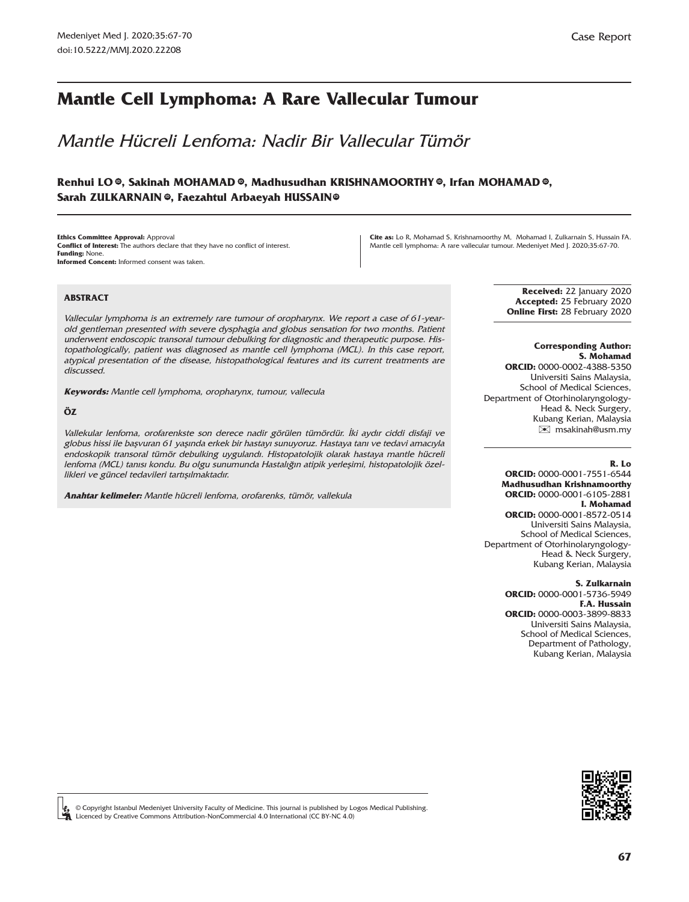# **Mantle Cell Lymphoma: A Rare Vallecular Tumour**

Mantle Hücreli Lenfoma: Nadir Bir Vallecular Tümör

# **Renhui L[O ,](https://orcid.org/0000-0001-7551-6544) Sakinah MOHAMA[D ,](https://orcid.org/0000-0002-4388-5350) Madhusudhan KRISHNAMOORTH[Y ,](https://orcid.org/0000-0001-6105-2881) Irfan MOHAMAD [,](https://orcid.org/0000-0001-8572-0514) ID ID ID ID** Sarah ZULKARNAIN©, Faezahtul Arbaeyah HUSSAIN©

**Ethics Committee Approval:** Approval **Conflict of Interest:** The authors declare that they have no conflict of interest. **Funding:** None. **Informed Concent:** Informed consent was taken

**Cite as:** Lo R, Mohamad S, Krishnamoorthy M, Mohamad I, Zulkarnain S, Hussain FA. Mantle cell lymphoma: A rare vallecular tumour. Medeniyet Med J. 2020;35:67-70.

### **ABSTRACT**

Vallecular lymphoma is an extremely rare tumour of oropharynx. We report a case of 61-yearold gentleman presented with severe dysphagia and globus sensation for two months. Patient underwent endoscopic transoral tumour debulking for diagnostic and therapeutic purpose. Histopathologically, patient was diagnosed as mantle cell lymphoma (MCL). In this case report, atypical presentation of the disease, histopathological features and its current treatments are discussed.

**Keywords:** Mantle cell lymphoma, oropharynx, tumour, vallecula

### **ÖZ**

Vallekular lenfoma, orofarenkste son derece nadir görülen tümördür. İki aydır ciddi disfaji ve globus hissi ile başvuran 61 yaşında erkek bir hastayı sunuyoruz. Hastaya tanı ve tedavi amacıyla endoskopik transoral tümör debulking uygulandı. Histopatolojik olarak hastaya mantle hücreli lenfoma (MCL) tanısı kondu. Bu olgu sunumunda Hastalığın atipik yerleşimi, histopatolojik özellikleri ve güncel tedavileri tartışılmaktadır.

**Anahtar kelimeler:** Mantle hücreli lenfoma, orofarenks, tümör, vallekula

**Received:** 22 January 2020 **Accepted:** 25 February 2020 **Online First:** 28 February 2020

### **Corresponding Author:**

**S. Mohamad ORCID:** 0000-0002-4388-5350 Universiti Sains Malaysia, School of Medical Sciences, Department of Otorhinolaryngology-Head & Neck Surgery, Kubang Kerian, Malaysia [✉](mailto:msakinah@usm.my) msakinah@usm.my

### **R. Lo**

**ORCID:** 0000-0001-7551-6544 **Madhusudhan Krishnamoorthy ORCID:** 0000-0001-6105-2881 **I. Mohamad ORCID:** 0000-0001-8572-0514 Universiti Sains Malaysia,

School of Medical Sciences, Department of Otorhinolaryngology-Head & Neck Surgery, Kubang Kerian, Malaysia

#### **S. Zulkarnain**

**ORCID:** 0000-0001-5736-5949 **F.A. Hussain ORCID:** 0000-0003-3899-8833 Universiti Sains Malaysia, School of Medical Sciences, Department of Pathology, Kubang Kerian, Malaysia



© Copyright Istanbul Medeniyet University Faculty of Medicine. This journal is published by Logos Medical Publishing. Licenced by Creative Commons Attribution-NonCommercial 4.0 International (CC BY-NC 4.0)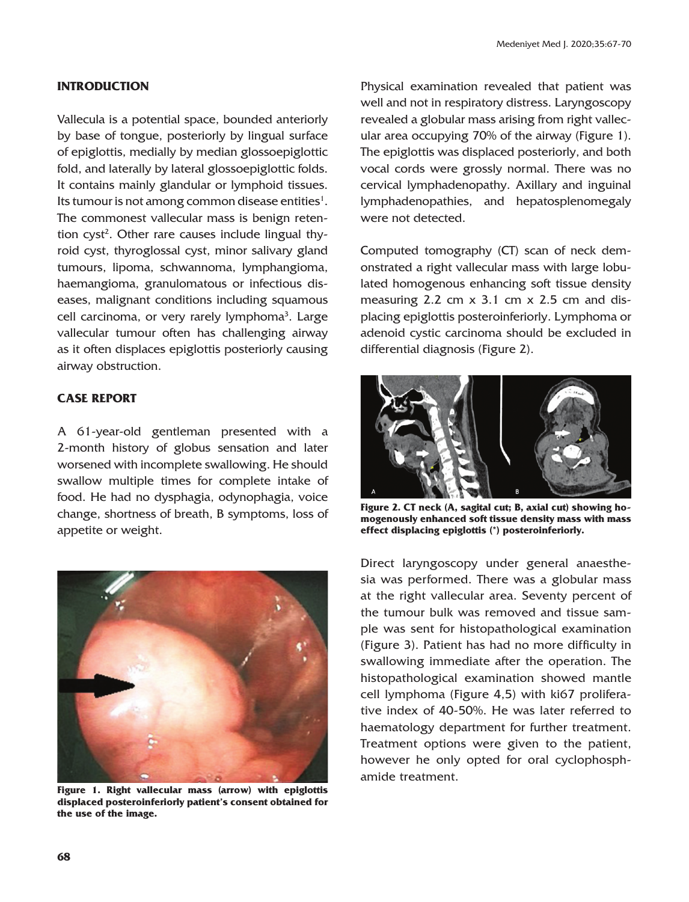## **INTRODUCTION**

Vallecula is a potential space, bounded anteriorly by base of tongue, posteriorly by lingual surface of epiglottis, medially by median glossoepiglottic fold, and laterally by lateral glossoepiglottic folds. It contains mainly glandular or lymphoid tissues. Its tumour is not among common disease entities $^1$ . The commonest vallecular mass is benign retention cyst<sup>2</sup>. Other rare causes include lingual thyroid cyst, thyroglossal cyst, minor salivary gland tumours, lipoma, schwannoma, lymphangioma, haemangioma, granulomatous or infectious diseases, malignant conditions including squamous cell carcinoma, or very rarely lymphoma<sup>3</sup>. Large vallecular tumour often has challenging airway as it often displaces epiglottis posteriorly causing airway obstruction.

### **CASE REPORT**

A 61-year-old gentleman presented with a 2-month history of globus sensation and later worsened with incomplete swallowing. He should swallow multiple times for complete intake of food. He had no dysphagia, odynophagia, voice change, shortness of breath, B symptoms, loss of appetite or weight.



**Figure 1. Right vallecular mass (arrow) with epiglottis displaced posteroinferiorly patient's consent obtained for the use of the image.**

Physical examination revealed that patient was well and not in respiratory distress. Laryngoscopy revealed a globular mass arising from right vallecular area occupying 70% of the airway (Figure 1). The epiglottis was displaced posteriorly, and both vocal cords were grossly normal. There was no cervical lymphadenopathy. Axillary and inguinal lymphadenopathies, and hepatosplenomegaly were not detected.

Computed tomography (CT) scan of neck demonstrated a right vallecular mass with large lobulated homogenous enhancing soft tissue density measuring 2.2 cm x 3.1 cm x 2.5 cm and displacing epiglottis posteroinferiorly. Lymphoma or adenoid cystic carcinoma should be excluded in differential diagnosis (Figure 2).



**Figure 2. CT neck (A, sagital cut; B, axial cut) showing homogenously enhanced soft tissue density mass with mass effect displacing epiglottis (\*) posteroinferiorly.** 

Direct laryngoscopy under general anaesthesia was performed. There was a globular mass at the right vallecular area. Seventy percent of the tumour bulk was removed and tissue sample was sent for histopathological examination (Figure 3). Patient has had no more difficulty in swallowing immediate after the operation. The histopathological examination showed mantle cell lymphoma (Figure 4,5) with ki67 proliferative index of 40-50%. He was later referred to haematology department for further treatment. Treatment options were given to the patient, however he only opted for oral cyclophosphamide treatment.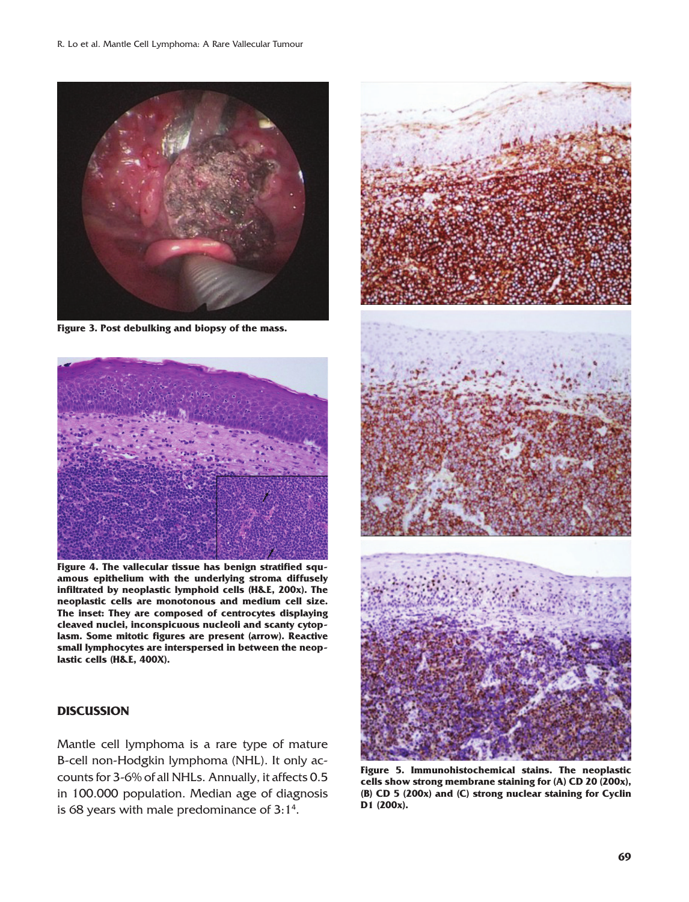

**Figure 3. Post debulking and biopsy of the mass.**



**Figure 4. The vallecular tissue has benign stratified squamous epithelium with the underlying stroma diffusely infiltrated by neoplastic lymphoid cells (H&E, 200x). The neoplastic cells are monotonous and medium cell size. The inset: They are composed of centrocytes displaying cleaved nuclei, inconspicuous nucleoli and scanty cytoplasm. Some mitotic figures are present (arrow). Reactive small lymphocytes are interspersed in between the neoplastic cells (H&E, 400X).**

## **DISCUSSION**

Mantle cell lymphoma is a rare type of mature B-cell non-Hodgkin lymphoma (NHL). It only accounts for 3-6% of all NHLs. Annually, it affects 0.5 in 100.000 population. Median age of diagnosis is 68 years with male predominance of  $3:1^4$ .



**Figure 5. Immunohistochemical stains. The neoplastic cells show strong membrane staining for (A) CD 20 (200x), (B) CD 5 (200x) and (C) strong nuclear staining for Cyclin D1 (200x).**